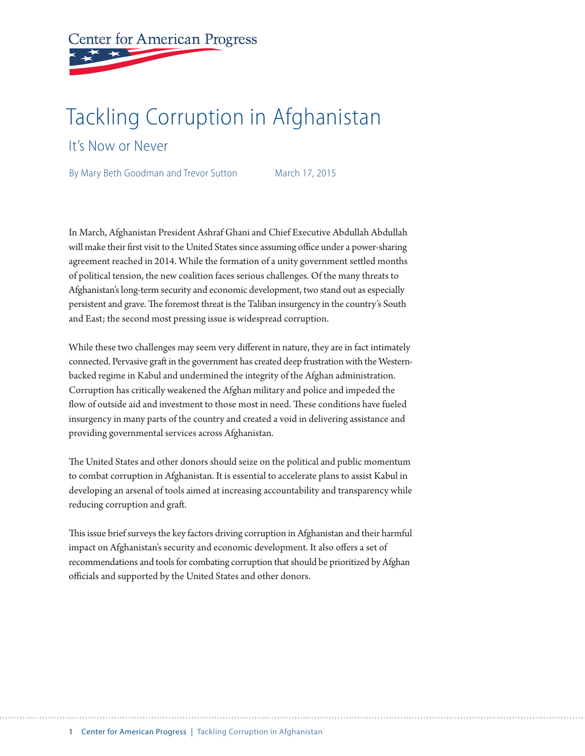# **Center for American Progress**

# Tackling Corruption in Afghanistan

It's Now or Never

By Mary Beth Goodman and Trevor Sutton March 17, 2015

In March, Afghanistan President Ashraf Ghani and Chief Executive Abdullah Abdullah will make their first visit to the United States since assuming office under a power-sharing agreement reached in 2014. While the formation of a unity government settled months of political tension, the new coalition faces serious challenges. Of the many threats to Afghanistan's long-term security and economic development, two stand out as especially persistent and grave. The foremost threat is the Taliban insurgency in the country's South and East; the second most pressing issue is widespread corruption.

While these two challenges may seem very different in nature, they are in fact intimately connected. Pervasive graft in the government has created deep frustration with the Westernbacked regime in Kabul and undermined the integrity of the Afghan administration. Corruption has critically weakened the Afghan military and police and impeded the flow of outside aid and investment to those most in need. These conditions have fueled insurgency in many parts of the country and created a void in delivering assistance and providing governmental services across Afghanistan.

The United States and other donors should seize on the political and public momentum to combat corruption in Afghanistan. It is essential to accelerate plans to assist Kabul in developing an arsenal of tools aimed at increasing accountability and transparency while reducing corruption and graft.

This issue brief surveys the key factors driving corruption in Afghanistan and their harmful impact on Afghanistan's security and economic development. It also offers a set of recommendations and tools for combating corruption that should be prioritized by Afghan officials and supported by the United States and other donors.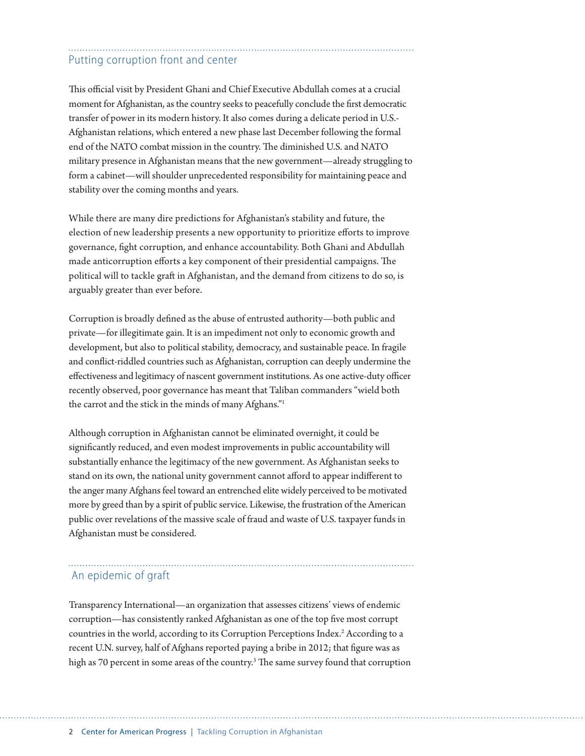# Putting corruption front and center

This official visit by President Ghani and Chief Executive Abdullah comes at a crucial moment for Afghanistan, as the country seeks to peacefully conclude the first democratic transfer of power in its modern history. It also comes during a delicate period in U.S.- Afghanistan relations, which entered a new phase last December following the formal end of the NATO combat mission in the country. The diminished U.S. and NATO military presence in Afghanistan means that the new government—already struggling to form a cabinet—will shoulder unprecedented responsibility for maintaining peace and stability over the coming months and years.

While there are many dire predictions for Afghanistan's stability and future, the election of new leadership presents a new opportunity to prioritize efforts to improve governance, fight corruption, and enhance accountability. Both Ghani and Abdullah made anticorruption efforts a key component of their presidential campaigns. The political will to tackle graft in Afghanistan, and the demand from citizens to do so, is arguably greater than ever before.

Corruption is broadly defined as the abuse of entrusted authority—both public and private—for illegitimate gain. It is an impediment not only to economic growth and development, but also to political stability, democracy, and sustainable peace. In fragile and conflict-riddled countries such as Afghanistan, corruption can deeply undermine the effectiveness and legitimacy of nascent government institutions. As one active-duty officer recently observed, poor governance has meant that Taliban commanders "wield both the carrot and the stick in the minds of many Afghans."1

Although corruption in Afghanistan cannot be eliminated overnight, it could be significantly reduced, and even modest improvements in public accountability will substantially enhance the legitimacy of the new government. As Afghanistan seeks to stand on its own, the national unity government cannot afford to appear indifferent to the anger many Afghans feel toward an entrenched elite widely perceived to be motivated more by greed than by a spirit of public service. Likewise, the frustration of the American public over revelations of the massive scale of fraud and waste of U.S. taxpayer funds in Afghanistan must be considered.

### An epidemic of graft

Transparency International—an organization that assesses citizens' views of endemic corruption—has consistently ranked Afghanistan as one of the top five most corrupt countries in the world, according to its Corruption Perceptions Index.<sup>2</sup> According to a recent U.N. survey, half of Afghans reported paying a bribe in 2012; that figure was as high as 70 percent in some areas of the country.3 The same survey found that corruption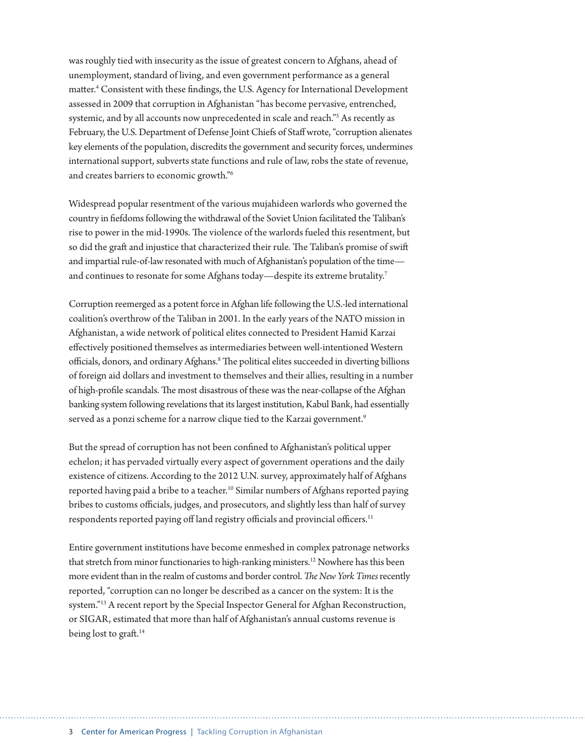was roughly tied with insecurity as the issue of greatest concern to Afghans, ahead of unemployment, standard of living, and even government performance as a general matter.4 Consistent with these findings, the U.S. Agency for International Development assessed in 2009 that corruption in Afghanistan "has become pervasive, entrenched, systemic, and by all accounts now unprecedented in scale and reach."5 As recently as February, the U.S. Department of Defense Joint Chiefs of Staff wrote, "corruption alienates key elements of the population, discredits the government and security forces, undermines international support, subverts state functions and rule of law, robs the state of revenue, and creates barriers to economic growth."6

Widespread popular resentment of the various mujahideen warlords who governed the country in fiefdoms following the withdrawal of the Soviet Union facilitated the Taliban's rise to power in the mid-1990s. The violence of the warlords fueled this resentment, but so did the graft and injustice that characterized their rule. The Taliban's promise of swift and impartial rule-of-law resonated with much of Afghanistan's population of the time and continues to resonate for some Afghans today—despite its extreme brutality.<sup>7</sup>

Corruption reemerged as a potent force in Afghan life following the U.S.-led international coalition's overthrow of the Taliban in 2001. In the early years of the NATO mission in Afghanistan, a wide network of political elites connected to President Hamid Karzai effectively positioned themselves as intermediaries between well-intentioned Western officials, donors, and ordinary Afghans.<sup>8</sup> The political elites succeeded in diverting billions of foreign aid dollars and investment to themselves and their allies, resulting in a number of high-profile scandals. The most disastrous of these was the near-collapse of the Afghan banking system following revelations that its largest institution, Kabul Bank, had essentially served as a ponzi scheme for a narrow clique tied to the Karzai government.<sup>9</sup>

But the spread of corruption has not been confined to Afghanistan's political upper echelon; it has pervaded virtually every aspect of government operations and the daily existence of citizens. According to the 2012 U.N. survey, approximately half of Afghans reported having paid a bribe to a teacher.<sup>10</sup> Similar numbers of Afghans reported paying bribes to customs officials, judges, and prosecutors, and slightly less than half of survey respondents reported paying off land registry officials and provincial officers.<sup>11</sup>

Entire government institutions have become enmeshed in complex patronage networks that stretch from minor functionaries to high-ranking ministers.<sup>12</sup> Nowhere has this been more evident than in the realm of customs and border control. *The New York Times* recently reported, "corruption can no longer be described as a cancer on the system: It is the system."13 A recent report by the Special Inspector General for Afghan Reconstruction, or SIGAR, estimated that more than half of Afghanistan's annual customs revenue is being lost to graft.<sup>14</sup>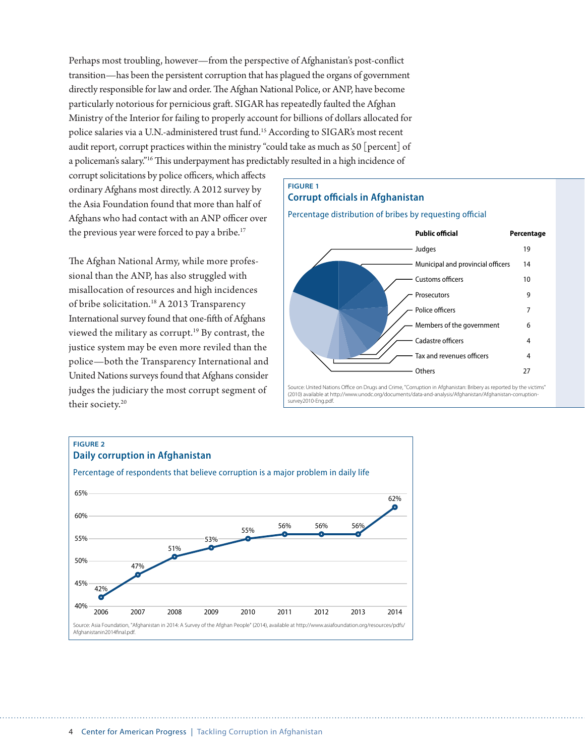Perhaps most troubling, however—from the perspective of Afghanistan's post-conflict transition—has been the persistent corruption that has plagued the organs of government directly responsible for law and order. The Afghan National Police, or ANP, have become particularly notorious for pernicious graft. SIGAR has repeatedly faulted the Afghan Ministry of the Interior for failing to properly account for billions of dollars allocated for police salaries via a U.N.-administered trust fund.15 According to SIGAR's most recent audit report, corrupt practices within the ministry "could take as much as 50 [percent] of a policeman's salary."16 This underpayment has predictably resulted in a high incidence of

corrupt solicitations by police officers, which affects ordinary Afghans most directly. A 2012 survey by the Asia Foundation found that more than half of Afghans who had contact with an ANP officer over the previous year were forced to pay a bribe.<sup>17</sup>

The Afghan National Army, while more professional than the ANP, has also struggled with misallocation of resources and high incidences of bribe solicitation.18 A 2013 Transparency International survey found that one-fifth of Afghans viewed the military as corrupt.19 By contrast, the justice system may be even more reviled than the police—both the Transparency International and United Nations surveys found that Afghans consider judges the judiciary the most corrupt segment of their society.<sup>20</sup>

#### **FIGURE 1**

#### **Corrupt officials in Afghanistan**

Percentage distribution of bribes by requesting official



Source: United Nations Office on Drugs and Crime, "Corruption in Afghanistan: Bribery as reported by the victims" (2010) available at http://www.unodc.org/documents/data-and-analysis/Afghanistan/Afghanistan-corruptionsurvey2010-Eng.pdf.

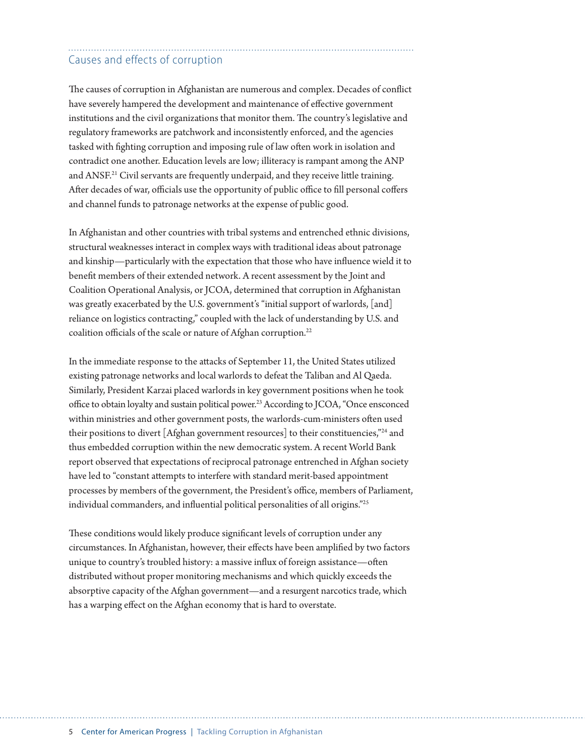## Causes and effects of corruption

The causes of corruption in Afghanistan are numerous and complex. Decades of conflict have severely hampered the development and maintenance of effective government institutions and the civil organizations that monitor them. The country's legislative and regulatory frameworks are patchwork and inconsistently enforced, and the agencies tasked with fighting corruption and imposing rule of law often work in isolation and contradict one another. Education levels are low; illiteracy is rampant among the ANP and ANSF.<sup>21</sup> Civil servants are frequently underpaid, and they receive little training. After decades of war, officials use the opportunity of public office to fill personal coffers and channel funds to patronage networks at the expense of public good.

In Afghanistan and other countries with tribal systems and entrenched ethnic divisions, structural weaknesses interact in complex ways with traditional ideas about patronage and kinship—particularly with the expectation that those who have influence wield it to benefit members of their extended network. A recent assessment by the Joint and Coalition Operational Analysis, or JCOA, determined that corruption in Afghanistan was greatly exacerbated by the U.S. government's "initial support of warlords, [and] reliance on logistics contracting," coupled with the lack of understanding by U.S. and coalition officials of the scale or nature of Afghan corruption.<sup>22</sup>

In the immediate response to the attacks of September 11, the United States utilized existing patronage networks and local warlords to defeat the Taliban and Al Qaeda. Similarly, President Karzai placed warlords in key government positions when he took office to obtain loyalty and sustain political power.<sup>23</sup> According to JCOA, "Once ensconced within ministries and other government posts, the warlords-cum-ministers often used their positions to divert [Afghan government resources] to their constituencies,"24 and thus embedded corruption within the new democratic system. A recent World Bank report observed that expectations of reciprocal patronage entrenched in Afghan society have led to "constant attempts to interfere with standard merit-based appointment processes by members of the government, the President's office, members of Parliament, individual commanders, and influential political personalities of all origins."25

These conditions would likely produce significant levels of corruption under any circumstances. In Afghanistan, however, their effects have been amplified by two factors unique to country's troubled history: a massive influx of foreign assistance—often distributed without proper monitoring mechanisms and which quickly exceeds the absorptive capacity of the Afghan government—and a resurgent narcotics trade, which has a warping effect on the Afghan economy that is hard to overstate.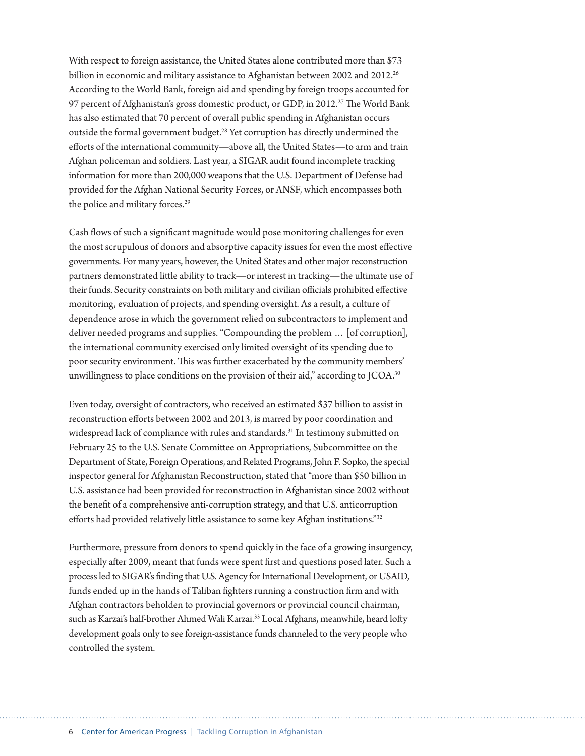With respect to foreign assistance, the United States alone contributed more than \$73 billion in economic and military assistance to Afghanistan between 2002 and 2012.<sup>26</sup> According to the World Bank, foreign aid and spending by foreign troops accounted for 97 percent of Afghanistan's gross domestic product, or GDP, in 2012.<sup>27</sup> The World Bank has also estimated that 70 percent of overall public spending in Afghanistan occurs outside the formal government budget.<sup>28</sup> Yet corruption has directly undermined the efforts of the international community—above all, the United States—to arm and train Afghan policeman and soldiers. Last year, a SIGAR audit found incomplete tracking information for more than 200,000 weapons that the U.S. Department of Defense had provided for the Afghan National Security Forces, or ANSF, which encompasses both the police and military forces.<sup>29</sup>

Cash flows of such a significant magnitude would pose monitoring challenges for even the most scrupulous of donors and absorptive capacity issues for even the most effective governments. For many years, however, the United States and other major reconstruction partners demonstrated little ability to track—or interest in tracking—the ultimate use of their funds. Security constraints on both military and civilian officials prohibited effective monitoring, evaluation of projects, and spending oversight. As a result, a culture of dependence arose in which the government relied on subcontractors to implement and deliver needed programs and supplies. "Compounding the problem … [of corruption], the international community exercised only limited oversight of its spending due to poor security environment. This was further exacerbated by the community members' unwillingness to place conditions on the provision of their aid," according to JCOA.<sup>30</sup>

Even today, oversight of contractors, who received an estimated \$37 billion to assist in reconstruction efforts between 2002 and 2013, is marred by poor coordination and widespread lack of compliance with rules and standards.<sup>31</sup> In testimony submitted on February 25 to the U.S. Senate Committee on Appropriations, Subcommittee on the Department of State, Foreign Operations, and Related Programs, John F. Sopko, the special inspector general for Afghanistan Reconstruction, stated that "more than \$50 billion in U.S. assistance had been provided for reconstruction in Afghanistan since 2002 without the benefit of a comprehensive anti-corruption strategy, and that U.S. anticorruption efforts had provided relatively little assistance to some key Afghan institutions."32

Furthermore, pressure from donors to spend quickly in the face of a growing insurgency, especially after 2009, meant that funds were spent first and questions posed later. Such a process led to SIGAR's finding that U.S. Agency for International Development, or USAID, funds ended up in the hands of Taliban fighters running a construction firm and with Afghan contractors beholden to provincial governors or provincial council chairman, such as Karzai's half-brother Ahmed Wali Karzai.33 Local Afghans, meanwhile, heard lofty development goals only to see foreign-assistance funds channeled to the very people who controlled the system.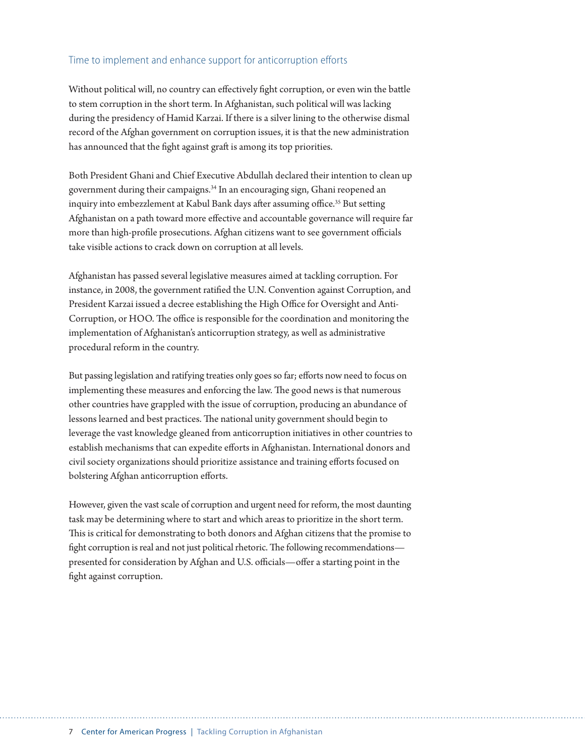#### Time to implement and enhance support for anticorruption efforts

Without political will, no country can effectively fight corruption, or even win the battle to stem corruption in the short term. In Afghanistan, such political will was lacking during the presidency of Hamid Karzai. If there is a silver lining to the otherwise dismal record of the Afghan government on corruption issues, it is that the new administration has announced that the fight against graft is among its top priorities.

Both President Ghani and Chief Executive Abdullah declared their intention to clean up government during their campaigns.34 In an encouraging sign, Ghani reopened an inquiry into embezzlement at Kabul Bank days after assuming office.<sup>35</sup> But setting Afghanistan on a path toward more effective and accountable governance will require far more than high-profile prosecutions. Afghan citizens want to see government officials take visible actions to crack down on corruption at all levels.

Afghanistan has passed several legislative measures aimed at tackling corruption. For instance, in 2008, the government ratified the U.N. Convention against Corruption, and President Karzai issued a decree establishing the High Office for Oversight and Anti-Corruption, or HOO. The office is responsible for the coordination and monitoring the implementation of Afghanistan's anticorruption strategy, as well as administrative procedural reform in the country.

But passing legislation and ratifying treaties only goes so far; efforts now need to focus on implementing these measures and enforcing the law. The good news is that numerous other countries have grappled with the issue of corruption, producing an abundance of lessons learned and best practices. The national unity government should begin to leverage the vast knowledge gleaned from anticorruption initiatives in other countries to establish mechanisms that can expedite efforts in Afghanistan. International donors and civil society organizations should prioritize assistance and training efforts focused on bolstering Afghan anticorruption efforts.

However, given the vast scale of corruption and urgent need for reform, the most daunting task may be determining where to start and which areas to prioritize in the short term. This is critical for demonstrating to both donors and Afghan citizens that the promise to fight corruption is real and not just political rhetoric. The following recommendations presented for consideration by Afghan and U.S. officials—offer a starting point in the fight against corruption.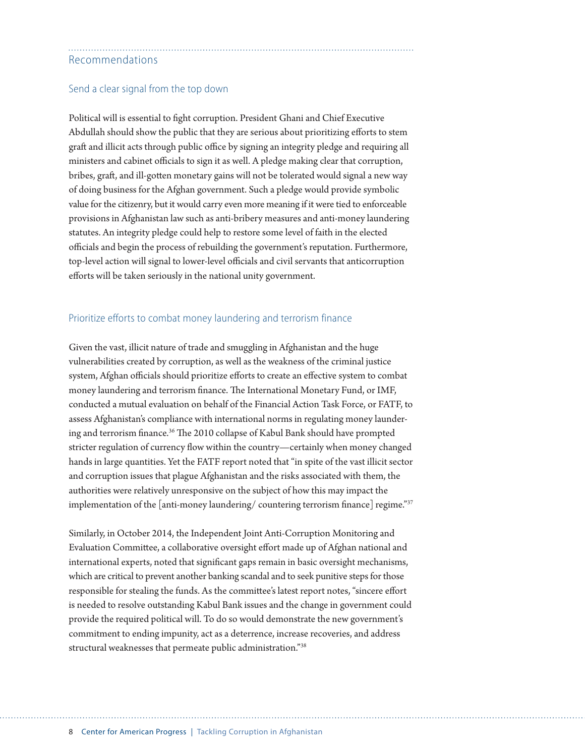#### Recommendations

#### Send a clear signal from the top down

Political will is essential to fight corruption. President Ghani and Chief Executive Abdullah should show the public that they are serious about prioritizing efforts to stem graft and illicit acts through public office by signing an integrity pledge and requiring all ministers and cabinet officials to sign it as well. A pledge making clear that corruption, bribes, graft, and ill-gotten monetary gains will not be tolerated would signal a new way of doing business for the Afghan government. Such a pledge would provide symbolic value for the citizenry, but it would carry even more meaning if it were tied to enforceable provisions in Afghanistan law such as anti-bribery measures and anti-money laundering statutes. An integrity pledge could help to restore some level of faith in the elected officials and begin the process of rebuilding the government's reputation. Furthermore, top-level action will signal to lower-level officials and civil servants that anticorruption efforts will be taken seriously in the national unity government.

#### Prioritize efforts to combat money laundering and terrorism finance

Given the vast, illicit nature of trade and smuggling in Afghanistan and the huge vulnerabilities created by corruption, as well as the weakness of the criminal justice system, Afghan officials should prioritize efforts to create an effective system to combat money laundering and terrorism finance. The International Monetary Fund, or IMF, conducted a mutual evaluation on behalf of the Financial Action Task Force, or FATF, to assess Afghanistan's compliance with international norms in regulating money laundering and terrorism finance.<sup>36</sup> The 2010 collapse of Kabul Bank should have prompted stricter regulation of currency flow within the country—certainly when money changed hands in large quantities. Yet the FATF report noted that "in spite of the vast illicit sector and corruption issues that plague Afghanistan and the risks associated with them, the authorities were relatively unresponsive on the subject of how this may impact the implementation of the [anti-money laundering/ countering terrorism finance] regime."<sup>37</sup>

Similarly, in October 2014, the Independent Joint Anti-Corruption Monitoring and Evaluation Committee, a collaborative oversight effort made up of Afghan national and international experts, noted that significant gaps remain in basic oversight mechanisms, which are critical to prevent another banking scandal and to seek punitive steps for those responsible for stealing the funds. As the committee's latest report notes, "sincere effort is needed to resolve outstanding Kabul Bank issues and the change in government could provide the required political will. To do so would demonstrate the new government's commitment to ending impunity, act as a deterrence, increase recoveries, and address structural weaknesses that permeate public administration."38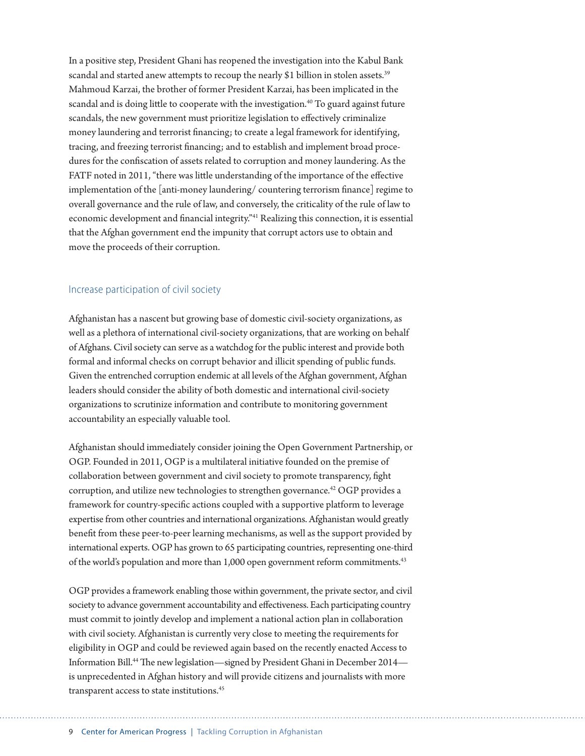In a positive step, President Ghani has reopened the investigation into the Kabul Bank scandal and started anew attempts to recoup the nearly \$1 billion in stolen assets.<sup>39</sup> Mahmoud Karzai, the brother of former President Karzai, has been implicated in the scandal and is doing little to cooperate with the investigation.<sup>40</sup> To guard against future scandals, the new government must prioritize legislation to effectively criminalize money laundering and terrorist financing; to create a legal framework for identifying, tracing, and freezing terrorist financing; and to establish and implement broad procedures for the confiscation of assets related to corruption and money laundering. As the FATF noted in 2011, "there was little understanding of the importance of the effective implementation of the [anti-money laundering/ countering terrorism finance] regime to overall governance and the rule of law, and conversely, the criticality of the rule of law to economic development and financial integrity."41 Realizing this connection, it is essential that the Afghan government end the impunity that corrupt actors use to obtain and move the proceeds of their corruption.

#### Increase participation of civil society

Afghanistan has a nascent but growing base of domestic civil-society organizations, as well as a plethora of international civil-society organizations, that are working on behalf of Afghans. Civil society can serve as a watchdog for the public interest and provide both formal and informal checks on corrupt behavior and illicit spending of public funds. Given the entrenched corruption endemic at all levels of the Afghan government, Afghan leaders should consider the ability of both domestic and international civil-society organizations to scrutinize information and contribute to monitoring government accountability an especially valuable tool.

Afghanistan should immediately consider joining the Open Government Partnership, or OGP. Founded in 2011, OGP is a multilateral initiative founded on the premise of collaboration between government and civil society to promote transparency, fight corruption, and utilize new technologies to strengthen governance.<sup>42</sup> OGP provides a framework for country-specific actions coupled with a supportive platform to leverage expertise from other countries and international organizations. Afghanistan would greatly benefit from these peer-to-peer learning mechanisms, as well as the support provided by international experts. OGP has grown to 65 participating countries, representing one-third of the world's population and more than 1,000 open government reform commitments.<sup>43</sup>

OGP provides a framework enabling those within government, the private sector, and civil society to advance government accountability and effectiveness. Each participating country must commit to jointly develop and implement a national action plan in collaboration with civil society. Afghanistan is currently very close to meeting the requirements for eligibility in OGP and could be reviewed again based on the recently enacted Access to Information Bill.44 The new legislation—signed by President Ghani in December 2014 is unprecedented in Afghan history and will provide citizens and journalists with more transparent access to state institutions.<sup>45</sup>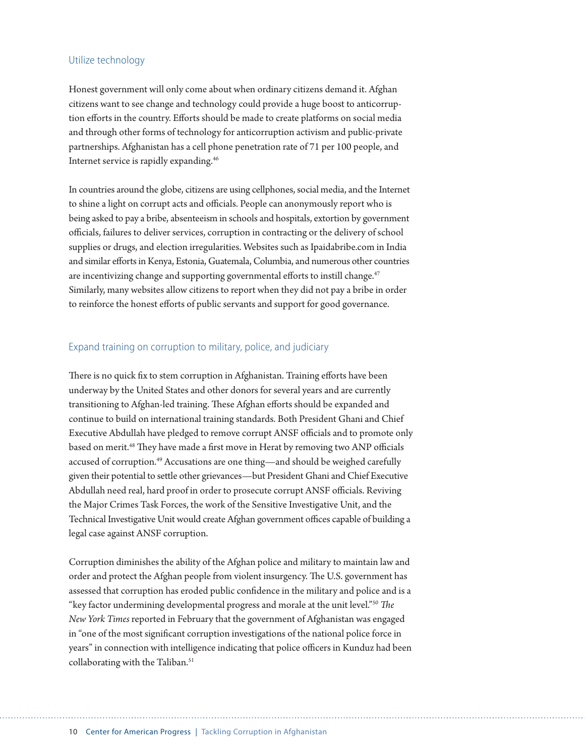#### Utilize technology

Honest government will only come about when ordinary citizens demand it. Afghan citizens want to see change and technology could provide a huge boost to anticorruption efforts in the country. Efforts should be made to create platforms on social media and through other forms of technology for anticorruption activism and public-private partnerships. Afghanistan has a cell phone penetration rate of 71 per 100 people, and Internet service is rapidly expanding.46

In countries around the globe, citizens are using cellphones, social media, and the Internet to shine a light on corrupt acts and officials. People can anonymously report who is being asked to pay a bribe, absenteeism in schools and hospitals, extortion by government officials, failures to deliver services, corruption in contracting or the delivery of school supplies or drugs, and election irregularities. Websites such as Ipaidabribe.com in India and similar efforts in Kenya, Estonia, Guatemala, Columbia, and numerous other countries are incentivizing change and supporting governmental efforts to instill change.<sup>47</sup> Similarly, many websites allow citizens to report when they did not pay a bribe in order to reinforce the honest efforts of public servants and support for good governance.

#### Expand training on corruption to military, police, and judiciary

There is no quick fix to stem corruption in Afghanistan. Training efforts have been underway by the United States and other donors for several years and are currently transitioning to Afghan-led training. These Afghan efforts should be expanded and continue to build on international training standards. Both President Ghani and Chief Executive Abdullah have pledged to remove corrupt ANSF officials and to promote only based on merit.<sup>48</sup> They have made a first move in Herat by removing two ANP officials accused of corruption.<sup>49</sup> Accusations are one thing—and should be weighed carefully given their potential to settle other grievances—but President Ghani and Chief Executive Abdullah need real, hard proof in order to prosecute corrupt ANSF officials. Reviving the Major Crimes Task Forces, the work of the Sensitive Investigative Unit, and the Technical Investigative Unit would create Afghan government offices capable of building a legal case against ANSF corruption.

Corruption diminishes the ability of the Afghan police and military to maintain law and order and protect the Afghan people from violent insurgency. The U.S. government has assessed that corruption has eroded public confidence in the military and police and is a "key factor undermining developmental progress and morale at the unit level."50 *The New York Times* reported in February that the government of Afghanistan was engaged in "one of the most significant corruption investigations of the national police force in years" in connection with intelligence indicating that police officers in Kunduz had been collaborating with the Taliban.<sup>51</sup>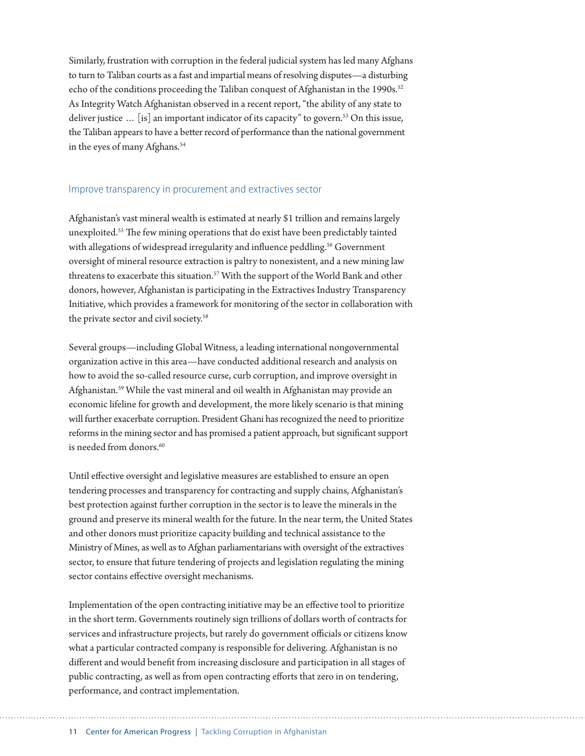Similarly, frustration with corruption in the federal judicial system has led many Afghans to turn to Taliban courts as a fast and impartial means of resolving disputes—a disturbing echo of the conditions proceeding the Taliban conquest of Afghanistan in the 1990s.<sup>52</sup> As Integrity Watch Afghanistan observed in a recent report, "the ability of any state to deliver justice  $\ldots$  [is] an important indicator of its capacity" to govern.<sup>53</sup> On this issue, the Taliban appears to have a better record of performance than the national government in the eyes of many Afghans.<sup>54</sup>

#### Improve transparency in procurement and extractives sector

Afghanistan's vast mineral wealth is estimated at nearly \$1 trillion and remains largely unexploited.55 The few mining operations that do exist have been predictably tainted with allegations of widespread irregularity and influence peddling.<sup>56</sup> Government oversight of mineral resource extraction is paltry to nonexistent, and a new mining law threatens to exacerbate this situation.<sup>57</sup> With the support of the World Bank and other donors, however, Afghanistan is participating in the Extractives Industry Transparency Initiative, which provides a framework for monitoring of the sector in collaboration with the private sector and civil society.<sup>58</sup>

Several groups—including Global Witness, a leading international nongovernmental organization active in this area—have conducted additional research and analysis on how to avoid the so-called resource curse, curb corruption, and improve oversight in Afghanistan.59 While the vast mineral and oil wealth in Afghanistan may provide an economic lifeline for growth and development, the more likely scenario is that mining will further exacerbate corruption. President Ghani has recognized the need to prioritize reforms in the mining sector and has promised a patient approach, but significant support is needed from donors.<sup>60</sup>

Until effective oversight and legislative measures are established to ensure an open tendering processes and transparency for contracting and supply chains, Afghanistan's best protection against further corruption in the sector is to leave the minerals in the ground and preserve its mineral wealth for the future. In the near term, the United States and other donors must prioritize capacity building and technical assistance to the Ministry of Mines, as well as to Afghan parliamentarians with oversight of the extractives sector, to ensure that future tendering of projects and legislation regulating the mining sector contains effective oversight mechanisms.

Implementation of the open contracting initiative may be an effective tool to prioritize in the short term. Governments routinely sign trillions of dollars worth of contracts for services and infrastructure projects, but rarely do government officials or citizens know what a particular contracted company is responsible for delivering. Afghanistan is no different and would benefit from increasing disclosure and participation in all stages of public contracting, as well as from open contracting efforts that zero in on tendering, performance, and contract implementation.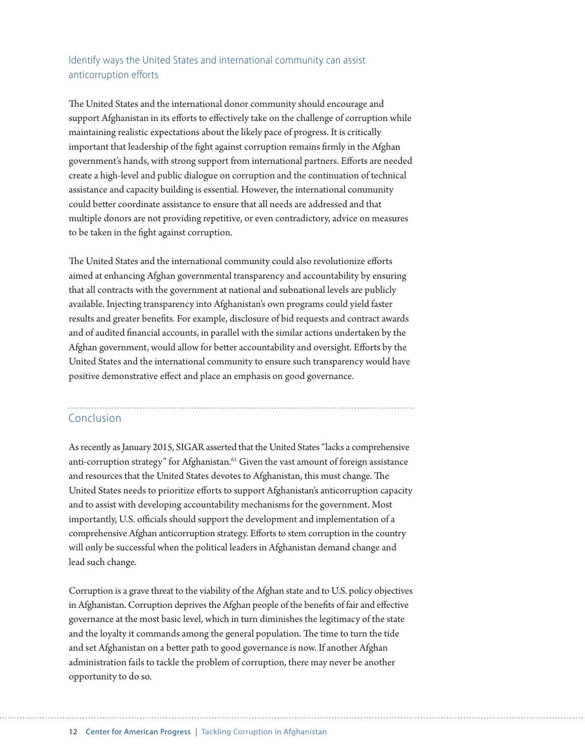#### Identify ways the United States and international community can assist anticorruption efforts

The United States and the international donor community should encourage and support Afghanistan in its efforts to effectively take on the challenge of corruption while maintaining realistic expectations about the likely pace of progress. It is critically important that leadership of the fight against corruption remains firmly in the Afghan government's hands, with strong support from international partners. Efforts are needed create a high-level and public dialogue on corruption and the continuation of technical assistance and capacity building is essential. However, the international community could better coordinate assistance to ensure that all needs are addressed and that multiple donors are not providing repetitive, or even contradictory, advice on measures to be taken in the fight against corruption.

The United States and the international community could also revolutionize efforts aimed at enhancing Afghan governmental transparency and accountability by ensuring that all contracts with the government at national and subnational levels are publicly available. Injecting transparency into Afghanistan's own programs could yield faster results and greater benefits. For example, disclosure of bid requests and contract awards and of audited financial accounts, in parallel with the similar actions undertaken by the Afghan government, would allow for better accountability and oversight. Efforts by the United States and the international community to ensure such transparency would have positive demonstrative effect and place an emphasis on good governance.

#### Conclusion

As recently as January 2015, SIGAR asserted that the United States "lacks a comprehensive anti-corruption strategy" for Afghanistan.<sup>61</sup> Given the vast amount of foreign assistance and resources that the United States devotes to Afghanistan, this must change. The United States needs to prioritize efforts to support Afghanistan's anticorruption capacity and to assist with developing accountability mechanisms for the government. Most importantly, U.S. officials should support the development and implementation of a comprehensive Afghan anticorruption strategy. Efforts to stem corruption in the country will only be successful when the political leaders in Afghanistan demand change and lead such change.

Corruption is a grave threat to the viability of the Afghan state and to U.S. policy objectives in Afghanistan. Corruption deprives the Afghan people of the benefits of fair and effective governance at the most basic level, which in turn diminishes the legitimacy of the state and the loyalty it commands among the general population. The time to turn the tide and set Afghanistan on a better path to good governance is now. If another Afghan administration fails to tackle the problem of corruption, there may never be another opportunity to do so.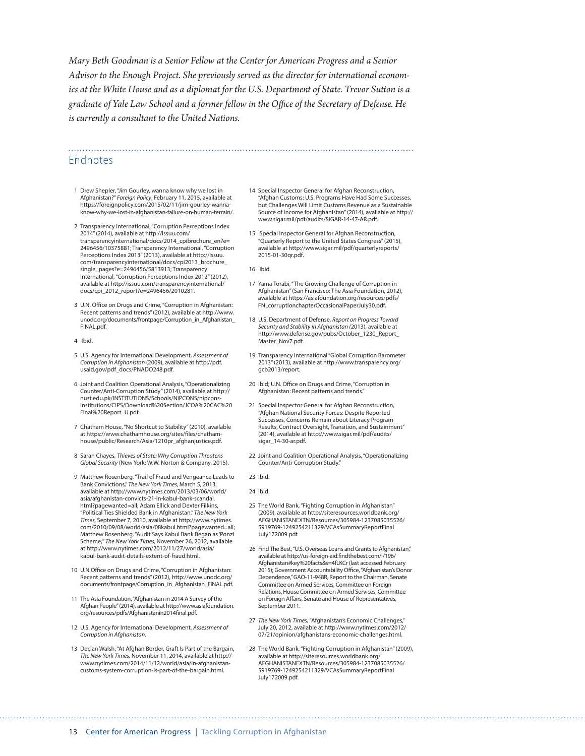*Mary Beth Goodman is a Senior Fellow at the Center for American Progress and a Senior Advisor to the Enough Project. She previously served as the director for international economics at the White House and as a diplomat for the U.S. Department of State. Trevor Sutton is a graduate of Yale Law School and a former fellow in the Office of the Secretary of Defense. He is currently a consultant to the United Nations.*

#### Endnotes

- 1 Drew Shepler, "Jim Gourley, wanna know why we lost in Afghanistan?" *Foreign Policy*, February 11, 2015, available at [https://foreignpolicy.com/2015/02/11/jim-gourley-wanna](https://foreignpolicy.com/2015/02/11/jim-gourley-wanna-know-why-we-lost-in-afghanistan-failure-on-human-terrain/)[know-why-we-lost-in-afghanistan-failure-on-human-terrain/](https://foreignpolicy.com/2015/02/11/jim-gourley-wanna-know-why-we-lost-in-afghanistan-failure-on-human-terrain/).
- 2 Transparency International, "Corruption Perceptions Index 2014" (2014), available at [http://issuu.com/](http://issuu.com/transparencyinternational/docs/2014_cpibrochure_en?e=2496456/10375881) [transparencyinternational/docs/2014\\_cpibrochure\\_en?e=](http://issuu.com/transparencyinternational/docs/2014_cpibrochure_en?e=2496456/10375881) [2496456/10375881](http://issuu.com/transparencyinternational/docs/2014_cpibrochure_en?e=2496456/10375881); Transparency International, "Corruption Perceptions Index 2013" (2013), available at [http://issuu.](http://issuu.com/transparencyinternational/docs/cpi2013_brochure_single_pages?e=2496456/5813913) [com/transparencyinternational/docs/cpi2013\\_brochure\\_](http://issuu.com/transparencyinternational/docs/cpi2013_brochure_single_pages?e=2496456/5813913) [single\\_pages?e=2496456/5813913](http://issuu.com/transparencyinternational/docs/cpi2013_brochure_single_pages?e=2496456/5813913); Transparency International, "Corruption Perceptions Index 2012" (2012), available at [http://issuu.com/transparencyinternational/](http://issuu.com/transparencyinternational/docs/cpi_2012_report?e=2496456/2010281) [docs/cpi\\_2012\\_report?e=2496456/2010281.](http://issuu.com/transparencyinternational/docs/cpi_2012_report?e=2496456/2010281)
- 3 U.N. Office on Drugs and Crime, "Corruption in Afghanistan: Recent patterns and trends" (2012), available at [http://www.](http://www.unodc.org/documents/frontpage/Corruption_in_Afghanistan_FINAL.pdf) [unodc.org/documents/frontpage/Corruption\\_in\\_Afghanistan\\_](http://www.unodc.org/documents/frontpage/Corruption_in_Afghanistan_FINAL.pdf) [FINAL.pdf](http://www.unodc.org/documents/frontpage/Corruption_in_Afghanistan_FINAL.pdf).
- 4 Ibid.
- 5 U.S. Agency for International Development, *Assessment of Corruption in Afghanistan* (2009), available at [http://pdf.](http://pdf.usaid.gov/pdf_docs/PNADO248.pdf) [usaid.gov/pdf\\_docs/PNADO248.pdf.](http://pdf.usaid.gov/pdf_docs/PNADO248.pdf)
- 6 Joint and Coalition Operational Analysis, "Operationalizing Counter/Anti-Corruption Study" (2014), available at [http://](http://nust.edu.pk/INSTITUTIONS/Schools/NIPCONS/nipcons-institutions/CIPS/Download%20Section/JCOA%20CAC%20Final%20Report_U.pdf) [nust.edu.pk/INSTITUTIONS/Schools/NIPCONS/nipcons](http://nust.edu.pk/INSTITUTIONS/Schools/NIPCONS/nipcons-institutions/CIPS/Download%20Section/JCOA%20CAC%20Final%20Report_U.pdf)[institutions/CIPS/Download%20Section/JCOA%20CAC%20](http://nust.edu.pk/INSTITUTIONS/Schools/NIPCONS/nipcons-institutions/CIPS/Download%20Section/JCOA%20CAC%20Final%20Report_U.pdf) [Final%20Report\\_U.pdf.](http://nust.edu.pk/INSTITUTIONS/Schools/NIPCONS/nipcons-institutions/CIPS/Download%20Section/JCOA%20CAC%20Final%20Report_U.pdf)
- 7 Chatham House, "No Shortcut to Stability" (2010), available at [https://www.chathamhouse.org/sites/files/chatham](https://www.chathamhouse.org/sites/files/chathamhouse/public/Research/Asia/1210pr_afghanjustice.pdf)[house/public/Research/Asia/1210pr\\_afghanjustice.pdf](https://www.chathamhouse.org/sites/files/chathamhouse/public/Research/Asia/1210pr_afghanjustice.pdf).
- 8 Sarah Chayes, *Thieves of State: Why Corruption Threatens Global Security* (New York: W.W. Norton & Company, 2015).
- 9 Matthew Rosenberg, "Trail of Fraud and Vengeance Leads to Bank Convictions," *The New York Times,* March 5, 2013, available at [http://www.nytimes.com/2013/03/06/world/](http://www.nytimes.com/2013/03/06/world/asia/afghanistan-convicts-21-in-kabul-bank-scandal.html?pagewanted=all) [asia/afghanistan-convicts-21-in-kabul-bank-scandal.](http://www.nytimes.com/2013/03/06/world/asia/afghanistan-convicts-21-in-kabul-bank-scandal.html?pagewanted=all) [html?pagewanted=all;](http://www.nytimes.com/2013/03/06/world/asia/afghanistan-convicts-21-in-kabul-bank-scandal.html?pagewanted=all) Adam Ellick and Dexter Filkins, "Political Ties Shielded Bank in Afghanistan," *The New York Times,* September 7, 2010, available at [http://www.nytimes.](http://www.nytimes.com/2010/09/08/world/asia/08kabul.html?pagewanted=all) [com/2010/09/08/world/asia/08kabul.html?pagewanted=all;](http://www.nytimes.com/2010/09/08/world/asia/08kabul.html?pagewanted=all) Matthew Rosenberg, "Audit Says Kabul Bank Began as 'Ponzi Scheme,'" *The New York Times,* November 26, 2012, available at [http://www.nytimes.com/2012/11/27/world/asia/](http://www.nytimes.com/2012/11/27/world/asia/kabul-bank-audit-details-extent-of-fraud.html) [kabul-bank-audit-details-extent-of-fraud.html.](http://www.nytimes.com/2012/11/27/world/asia/kabul-bank-audit-details-extent-of-fraud.html)
- 10 U.N.Office on Drugs and Crime, "Corruption in Afghanistan: Recent patterns and trends" (2012), [http://www.unodc.org/](http://www.unodc.org/documents/frontpage/Corruption_in_Afghanistan_FINAL.pdf) [documents/frontpage/Corruption\\_in\\_Afghanistan\\_FINAL.pdf.](http://www.unodc.org/documents/frontpage/Corruption_in_Afghanistan_FINAL.pdf)
- 11 The Asia Foundation, "Afghanistan in 2014 A Survey of the Afghan People" (2014), available at [http://www.asiafoundation.](http://www.asiafoundation.org/resources/pdfs/Afghanistanin2014final.pdf) [org/resources/pdfs/Afghanistanin2014final.pdf](http://www.asiafoundation.org/resources/pdfs/Afghanistanin2014final.pdf).
- 12 U.S. Agency for International Development, *Assessment of Corruption in Afghanistan*.
- 13 Declan Walsh, "At Afghan Border, Graft Is Part of the Bargain, *The New York Times,* November 11, 2014, available at [http://](http://www.nytimes.com/2014/11/12/world/asia/in-afghanistan-customs-system-corruption-is-part-of-the-bargain.html) [www.nytimes.com/2014/11/12/world/asia/in-afghanistan](http://www.nytimes.com/2014/11/12/world/asia/in-afghanistan-customs-system-corruption-is-part-of-the-bargain.html)[customs-system-corruption-is-part-of-the-bargain.html.](http://www.nytimes.com/2014/11/12/world/asia/in-afghanistan-customs-system-corruption-is-part-of-the-bargain.html)
- 14 Special Inspector General for Afghan Reconstruction, "Afghan Customs: U.S. Programs Have Had Some Successes, but Challenges Will Limit Customs Revenue as a Sustainable Source of Income for Afghanistan" (2014), available at [http://](http://www.sigar.mil/pdf/audits/SIGAR-14-47-AR.pdf) [www.sigar.mil/pdf/audits/SIGAR-14-47-AR.pdf](http://www.sigar.mil/pdf/audits/SIGAR-14-47-AR.pdf).
- 15 Special Inspector General for Afghan Reconstruction, "Quarterly Report to the United States Congress" (2015), available at [http://www.sigar.mil/pdf/quarterlyreports/](http://www.sigar.mil/pdf/quarterlyreports/2015-01-30qr.pdf) [2015-01-30qr.pdf.](http://www.sigar.mil/pdf/quarterlyreports/2015-01-30qr.pdf)

16 Ibid.

- 17 Yama Torabi, "The Growing Challenge of Corruption in Afghanistan" (San Francisco: The Asia Foundation, 2012), available at [https://asiafoundation.org/resources/pdfs/](https://asiafoundation.org/resources/pdfs/FNLcorruptionchapterOccasionalPaperJuly30.pdf) [FNLcorruptionchapterOccasionalPaperJuly30.pdf.](https://asiafoundation.org/resources/pdfs/FNLcorruptionchapterOccasionalPaperJuly30.pdf)
- 18 U.S. Department of Defense, *Report on Progress Toward Security and Stability in Afghanistan (*2013), available at [http://www.defense.gov/pubs/October\\_1230\\_Report\\_](http://www.defense.gov/pubs/October_1230_Report_Master_Nov7.pdf) [Master\\_Nov7.pdf.](http://www.defense.gov/pubs/October_1230_Report_Master_Nov7.pdf)
- 19 Transparency International "Global Corruption Barometer 2013" (2013), available at [http://www.transparency.org/](http://www.transparency.org/gcb2013/report) [gcb2013/report](http://www.transparency.org/gcb2013/report).
- 20 Ibid; U.N. Office on Drugs and Crime, "Corruption in Afghanistan: Recent patterns and trends."
- 21 Special Inspector General for Afghan Reconstruction, "Afghan National Security Forces: Despite Reported Successes, Concerns Remain about Literacy Program Results, Contract Oversight, Transition, and Sustainment" (2014), available at [http://www.sigar.mil/pdf/audits/](http://www.sigar.mil/pdf/audits/sigar_14-30-ar.pdf) [sigar\\_14-30-ar.pdf](http://www.sigar.mil/pdf/audits/sigar_14-30-ar.pdf).
- 22 Joint and Coalition Operational Analysis, "Operationalizing Counter/Anti-Corruption Study."
- 23 Ibid.
- 24 Ibid.
- 25 The World Bank, "Fighting Corruption in Afghanistan" (2009), available at [http://siteresources.worldbank.org/](http://siteresources.worldbank.org/AFGHANISTANEXTN/Resources/305984-1237085035526/5919769-1249254211329/VCAsSummaryReportFinalJuly172009.pdf) [AFGHANISTANEXTN/Resources/305984-1237085035526/](http://siteresources.worldbank.org/AFGHANISTANEXTN/Resources/305984-1237085035526/5919769-1249254211329/VCAsSummaryReportFinalJuly172009.pdf) [5919769-1249254211329/VCAsSummaryReportFinal](http://siteresources.worldbank.org/AFGHANISTANEXTN/Resources/305984-1237085035526/5919769-1249254211329/VCAsSummaryReportFinalJuly172009.pdf) [July172009.pdf](http://siteresources.worldbank.org/AFGHANISTANEXTN/Resources/305984-1237085035526/5919769-1249254211329/VCAsSummaryReportFinalJuly172009.pdf).
- 26 Find The Best, "U.S. Overseas Loans and Grants to Afghanistan," available at http://us-foreign-aid.findthebest.com/l/196/ Afghanistan#key%20facts&s=4fLKCr (last accessed February 2015); Government Accountability Office, "Afghanistan's Donor Dependence," GAO-11-948R, Report to the Chairman, Senate Committee on Armed Services, Committee on Foreign Relations, House Committee on Armed Services, Committee on Foreign Affairs, Senate and House of Representatives, September 2011.
- 27 *The New York Times,* "Afghanistan's Economic Challenges," July 20, 2012, available at [http://www.nytimes.com/2012/](http://www.nytimes.com/2012/07/21/opinion/afghanistans-economic-challenges.html) [07/21/opinion/afghanistans-economic-challenges.html.](http://www.nytimes.com/2012/07/21/opinion/afghanistans-economic-challenges.html)
- 28 The World Bank, "Fighting Corruption in Afghanistan" (2009), available at [http://siteresources.worldbank.org/](http://siteresources.worldbank.org/AFGHANISTANEXTN/Resources/305984-1237085035526/5919769-1249254211329/VCAsSummaryReportFinalJuly172009.pdf) [AFGHANISTANEXTN/Resources/305984-1237085035526/](http://siteresources.worldbank.org/AFGHANISTANEXTN/Resources/305984-1237085035526/5919769-1249254211329/VCAsSummaryReportFinalJuly172009.pdf) [5919769-1249254211329/VCAsSummaryReportFinal](http://siteresources.worldbank.org/AFGHANISTANEXTN/Resources/305984-1237085035526/5919769-1249254211329/VCAsSummaryReportFinalJuly172009.pdf) [July172009.pdf](http://siteresources.worldbank.org/AFGHANISTANEXTN/Resources/305984-1237085035526/5919769-1249254211329/VCAsSummaryReportFinalJuly172009.pdf).